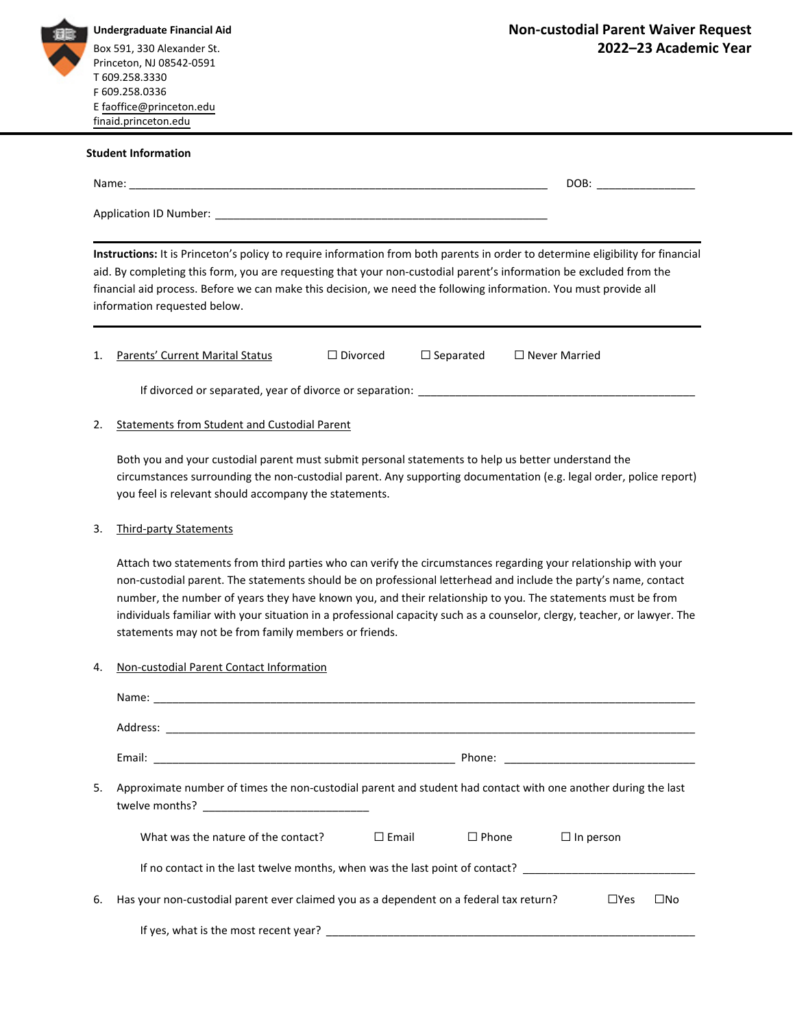

Princeton, NJ 08542-0591<br>T 609.258.3330 **Undergraduate Financial Aid** Box 591, 330 Alexander St.

## **Student Information** Application ID Number: \_\_\_\_\_\_\_\_\_\_\_\_\_\_\_\_\_\_\_\_\_\_\_\_\_\_\_\_\_\_\_\_\_\_\_\_\_\_\_\_\_\_\_\_\_\_\_\_\_\_\_\_\_\_ **Instructions:** It is Princeton's policy to require information from both parents in order to determine eligibility for financial aid. By completing this form, you are requesting that your non‐custodial parent's information be excluded from the financial aid process. Before we can make this decision, we need the following information. You must provide all information requested below. 1. Parents' Current Marital Status □ □ Divorced □ Separated □ Never Married If divorced or separated, year of divorce or separation: \_\_\_\_\_\_\_\_\_\_\_\_\_\_\_\_\_\_\_\_\_\_\_\_\_\_\_\_\_\_\_\_\_\_\_\_\_\_\_\_\_\_\_\_\_ 2. Statements from Student and Custodial Parent Both you and your custodial parent must submit personal statements to help us better understand the circumstances surrounding the non‐custodial parent. Any supporting documentation (e.g. legal order, police report) you feel is relevant should accompany the statements. 3. Third-party Statements Attach two statements from third parties who can verify the circumstances regarding your relationship with your non‐custodial parent. The statements should be on professional letterhead and include the party's name, contact number, the number of years they have known you, and their relationship to you. The statements must be from individuals familiar with your situation in a professional capacity such as a counselor, clergy, teacher, or lawyer. The statements may not be from family members or friends. 4. Non-custodial Parent Contact Information Name: \_\_\_\_\_\_\_\_\_\_\_\_\_\_\_\_\_\_\_\_\_\_\_\_\_\_\_\_\_\_\_\_\_\_\_\_\_\_\_\_\_\_\_\_\_\_\_\_\_\_\_\_\_\_\_\_\_\_\_\_\_\_\_\_\_\_\_\_\_\_\_\_\_\_\_\_\_\_\_\_\_\_\_\_\_\_\_\_ Email: \_\_\_\_\_\_\_\_\_\_\_\_\_\_\_\_\_\_\_\_\_\_\_\_\_\_\_\_\_\_\_\_\_\_\_\_\_\_\_\_\_\_\_\_\_\_\_\_\_ Phone: \_\_\_\_\_\_\_\_\_\_\_\_\_\_\_\_\_\_\_\_\_\_\_\_\_\_\_\_\_\_\_ 5. Approximate number of times the non-custodial parent and student had contact with one another during the last What was the nature of the contact?  $□$  Email  $□$  Phone  $□$  In person If no contact in the last twelve months, when was the last point of contact? \_\_\_\_\_\_\_\_\_\_\_\_\_\_\_\_\_\_\_\_\_\_\_\_\_\_\_\_\_\_\_\_\_ 6. Has your non-custodial parent ever claimed you as a dependent on a federal tax return? □Yes □No F 609.258.0336 E [faoffice@princeton.edu](mailto:faoffice@princeton.edu) [finaid.princeton.edu](https://finaid.princeton.edu/) Name: The contract of the contract of the contract of the contract of the contract of the contract of the contract of the contract of the contract of the contract of the contract of the contract of the contract of the cont Address: \_\_\_\_\_\_\_\_\_\_\_\_\_\_\_\_\_\_\_\_\_\_\_\_\_\_\_\_\_\_\_\_\_\_\_\_\_\_\_\_\_\_\_\_\_\_\_\_\_\_\_\_\_\_\_\_\_\_\_\_\_\_\_\_\_\_\_\_\_\_\_\_\_\_\_\_\_\_\_\_\_\_\_\_\_\_ twelve months?

If yes, what is the most recent year? \_\_\_\_\_\_\_\_\_\_\_\_\_\_\_\_\_\_\_\_\_\_\_\_\_\_\_\_\_\_\_\_\_\_\_\_\_\_\_\_\_\_\_\_\_\_\_\_\_\_\_\_\_\_\_\_\_\_\_\_